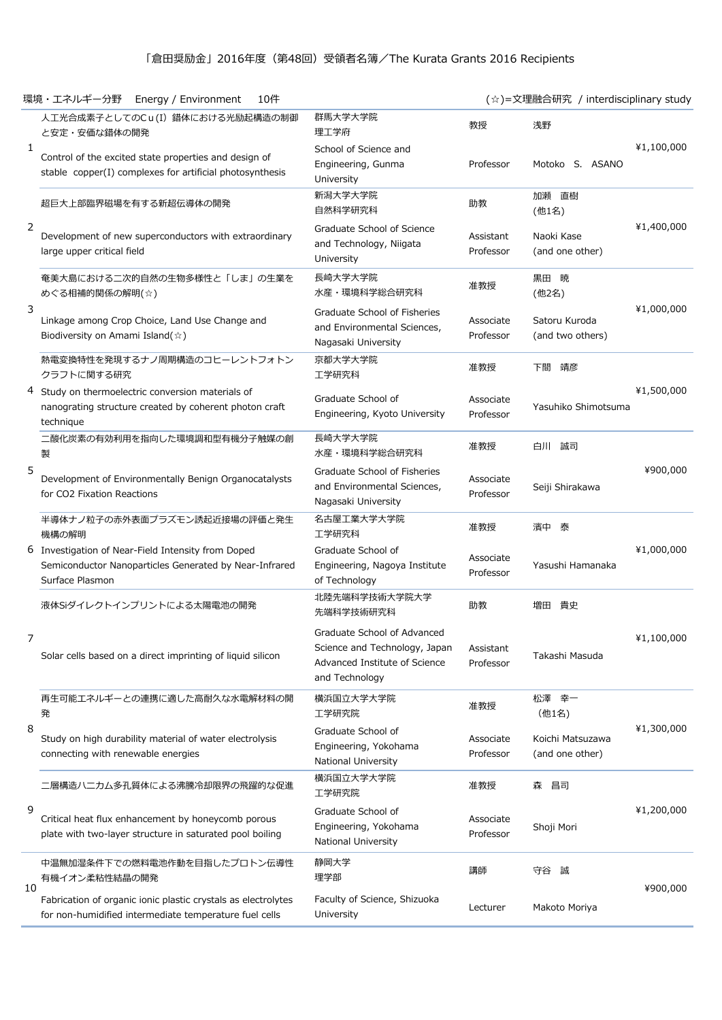## 「倉田奨励金」2016年度(第48回)受領者名簿/The Kurata Grants 2016 Recipients

|    | 10件<br>環境・エネルギー分野<br>Energy / Environment                                                                                       |                                                                                                                 |                        | (☆)=文理融合研究 / interdisciplinary study |            |
|----|---------------------------------------------------------------------------------------------------------------------------------|-----------------------------------------------------------------------------------------------------------------|------------------------|--------------------------------------|------------|
| 1  | 人工光合成素子としてのCu(I) 錯体における光励起構造の制御<br>と安定・安価な錯体の開発                                                                                 | 群馬大学大学院<br>理工学府                                                                                                 | 教授                     | 浅野                                   | ¥1,100,000 |
|    | Control of the excited state properties and design of<br>stable copper(I) complexes for artificial photosynthesis               | School of Science and<br>Engineering, Gunma<br>University                                                       | Professor              | Motoko S. ASANO                      |            |
| 2  | 超巨大上部臨界磁場を有する新超伝導体の開発                                                                                                           | 新潟大学大学院<br>自然科学研究科                                                                                              | 助教                     | 加瀬直樹<br>(他1名)                        | ¥1,400,000 |
|    | Development of new superconductors with extraordinary<br>large upper critical field                                             | Graduate School of Science<br>and Technology, Niigata<br>University                                             | Assistant<br>Professor | Naoki Kase<br>(and one other)        |            |
| 3  | 奄美大島における二次的自然の生物多様性と「しま」の生業を<br>めぐる相補的関係の解明(☆)                                                                                  | 長崎大学大学院<br>水産・環境科学総合研究科                                                                                         | 准教授                    | 黒田暁<br>(他2名)                         | ¥1,000,000 |
|    | Linkage among Crop Choice, Land Use Change and<br>Biodiversity on Amami Island( $\hat{\varphi}$ )                               | Graduate School of Fisheries<br>and Environmental Sciences,<br>Nagasaki University                              | Associate<br>Professor | Satoru Kuroda<br>(and two others)    |            |
|    | 熱電変換特性を発現するナノ周期構造のコヒーレントフォトン<br>クラフトに関する研究                                                                                      | 京都大学大学院<br>工学研究科                                                                                                | 准教授                    | 下間 靖彦                                | ¥1,500,000 |
|    | 4 Study on thermoelectric conversion materials of<br>nanograting structure created by coherent photon craft<br>technique        | Graduate School of<br>Engineering, Kyoto University                                                             | Associate<br>Professor | Yasuhiko Shimotsuma                  |            |
|    | 二酸化炭素の有効利用を指向した環境調和型有機分子触媒の創<br>製                                                                                               | 長崎大学大学院<br>水産・環境科学総合研究科                                                                                         | 准教授                    | 白川 誠司                                | ¥900,000   |
| 5  | Development of Environmentally Benign Organocatalysts<br>for CO2 Fixation Reactions                                             | Graduate School of Fisheries<br>and Environmental Sciences,<br>Nagasaki University                              | Associate<br>Professor | Seiji Shirakawa                      |            |
|    | 半導体ナノ粒子の赤外表面プラズモン誘起近接場の評価と発生<br>機構の解明                                                                                           | 名古屋工業大学大学院<br>工学研究科                                                                                             | 准教授                    | 濱中 泰                                 | ¥1,000,000 |
|    | 6 Investigation of Near-Field Intensity from Doped<br>Semiconductor Nanoparticles Generated by Near-Infrared<br>Surface Plasmon | Graduate School of<br>Engineering, Nagoya Institute<br>of Technology                                            | Associate<br>Professor | Yasushi Hamanaka                     |            |
|    | 液体Siダイレクトインプリントによる太陽電池の開発                                                                                                       | 北陸先端科学技術大学院大学<br>先端科学技術研究科                                                                                      | 助教                     | 増田 貴史                                | ¥1,100,000 |
| 7  | Solar cells based on a direct imprinting of liquid silicon                                                                      | Graduate School of Advanced<br>Science and Technology, Japan<br>Advanced Institute of Science<br>and Technology | Assistant<br>Professor | Takashi Masuda                       |            |
| 8  | 再生可能エネルギーとの連携に適した高耐久な水電解材料の開<br>発                                                                                               | 横浜国立大学大学院<br>工学研究院                                                                                              | 准教授                    | 松澤幸一<br>(他1名)                        | ¥1,300,000 |
|    | Study on high durability material of water electrolysis<br>connecting with renewable energies                                   | Graduate School of<br>Engineering, Yokohama<br>National University                                              | Associate<br>Professor | Koichi Matsuzawa<br>(and one other)  |            |
| 9  | 二層構造ハニカム多孔質体による沸騰冷却限界の飛躍的な促進                                                                                                    | 横浜国立大学大学院<br>工学研究院                                                                                              | 准教授                    | 昌司<br>森                              | ¥1,200,000 |
|    | Critical heat flux enhancement by honeycomb porous<br>plate with two-layer structure in saturated pool boiling                  | Graduate School of<br>Engineering, Yokohama<br>National University                                              | Associate<br>Professor | Shoji Mori                           |            |
| 10 | 中温無加湿条件下での燃料電池作動を目指したプロトン伝導性<br>有機イオン柔粘性結晶の開発                                                                                   | 静岡大学<br>理学部                                                                                                     | 講師                     | 守谷 誠                                 | ¥900,000   |
|    | Fabrication of organic ionic plastic crystals as electrolytes<br>for non-humidified intermediate temperature fuel cells         | Faculty of Science, Shizuoka<br><b>University</b>                                                               | Lecturer               | Makoto Moriya                        |            |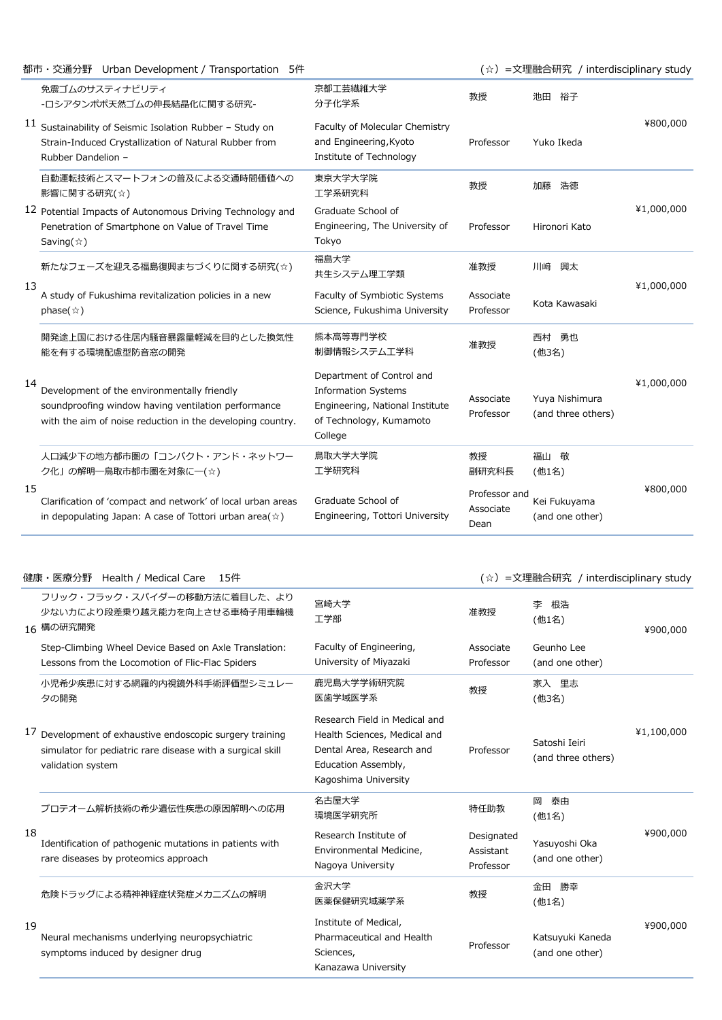|    | 都市・交通分野 Urban Development / Transportation 5件                                                                                                                    |                                                                                                                                  |                                    | (☆) =文理融合研究 / interdisciplinary study |            |
|----|------------------------------------------------------------------------------------------------------------------------------------------------------------------|----------------------------------------------------------------------------------------------------------------------------------|------------------------------------|---------------------------------------|------------|
|    | 免震ゴムのサスティナビリティ<br>-ロシアタンポポ天然ゴムの伸長結晶化に関する研究-                                                                                                                      | 京都工芸繊維大学<br>分子化学系                                                                                                                | 教授                                 | 池田 裕子                                 | ¥800,000   |
|    | $11$ Sustainability of Seismic Isolation Rubber - Study on<br>Strain-Induced Crystallization of Natural Rubber from<br>Rubber Dandelion -                        | Faculty of Molecular Chemistry<br>and Engineering, Kyoto<br>Institute of Technology                                              | Professor                          | Yuko Ikeda                            |            |
|    | 自動運転技術とスマートフォンの普及による交通時間価値への<br>影響に関する研究(☆)                                                                                                                      | 東京大学大学院<br>工学系研究科                                                                                                                | 教授                                 | 加藤<br>浩徳                              | ¥1,000,000 |
|    | 12 Potential Impacts of Autonomous Driving Technology and<br>Penetration of Smartphone on Value of Travel Time<br>Saving( $\hat{\varpi}$ )                       | Graduate School of<br>Engineering, The University of<br>Tokyo                                                                    | Professor                          | Hironori Kato                         |            |
| 13 | 新たなフェーズを迎える福島復興まちづくりに関する研究(☆)                                                                                                                                    | 福島大学<br>共生システム理工学類                                                                                                               | 准教授                                | 川﨑<br>興太                              | ¥1,000,000 |
|    | A study of Fukushima revitalization policies in a new<br>phase( $\hat{\mathbf{x}}$ )                                                                             | Faculty of Symbiotic Systems<br>Science, Fukushima University                                                                    | Associate<br>Professor             | Kota Kawasaki                         |            |
| 14 | 開発途上国における住居内騒音暴露量軽減を目的とした換気性<br>能を有する環境配慮型防音窓の開発                                                                                                                 | 熊本高等専門学校<br>制御情報システム工学科                                                                                                          | 准教授                                | 西村 勇也<br>(他3名)                        | ¥1,000,000 |
|    | Development of the environmentally friendly<br>soundproofing window having ventilation performance<br>with the aim of noise reduction in the developing country. | Department of Control and<br><b>Information Systems</b><br>Engineering, National Institute<br>of Technology, Kumamoto<br>College | Associate<br>Professor             | Yuya Nishimura<br>(and three others)  |            |
| 15 | 人口減少下の地方都市圏の「コンパクト・アンド・ネットワー<br>ク化」の解明––鳥取市都市圏を対象に––(☆)                                                                                                          | 鳥取大学大学院<br>工学研究科                                                                                                                 | 教授<br>副研究科長                        | 福山敬<br>(他1名)                          | ¥800,000   |
|    | Clarification of 'compact and network' of local urban areas<br>in depopulating Japan: A case of Tottori urban area $(\hat{\varphi})$                             | Graduate School of<br>Engineering, Tottori University                                                                            | Professor and<br>Associate<br>Dean | Kei Fukuyama<br>(and one other)       |            |

## 健康・医療分野 Health / Medical Care 15件 インプレントリング インディング インディング (☆) =文理融合研究 / interdisciplinary study

|    | フリック・フラック・スパイダーの移動方法に着目した、より<br>少ない力により段差乗り越え能力を向上させる車椅子用車輪機<br>16 構の研究開発                                                                   | 宮崎大学<br>工学部                                                                                                                               | 准教授                                  | 根浩<br>李<br>(他1名)                    | ¥900,000   |
|----|---------------------------------------------------------------------------------------------------------------------------------------------|-------------------------------------------------------------------------------------------------------------------------------------------|--------------------------------------|-------------------------------------|------------|
|    | Step-Climbing Wheel Device Based on Axle Translation:<br>Lessons from the Locomotion of Flic-Flac Spiders                                   | Faculty of Engineering,<br>University of Miyazaki                                                                                         | Associate<br>Professor               | Geunho Lee<br>(and one other)       |            |
|    | 小児希少疾患に対する網羅的内視鏡外科手術評価型シミュレー<br>夕の開発                                                                                                        | 鹿児島大学学術研究院<br>医歯学域医学系                                                                                                                     | 教授                                   | 家入 里志<br>(他3名)                      |            |
|    | 17 Development of exhaustive endoscopic surgery training<br>simulator for pediatric rare disease with a surgical skill<br>validation system | Research Field in Medical and<br>Health Sciences, Medical and<br>Dental Area, Research and<br>Education Assembly,<br>Kagoshima University | Professor                            | Satoshi Ieiri<br>(and three others) | ¥1,100,000 |
| 18 | プロテオーム解析技術の希少遺伝性疾患の原因解明への応用                                                                                                                 | 名古屋大学<br>環境医学研究所                                                                                                                          | 特任助教                                 | 泰由<br>岡<br>(他1名)                    | ¥900,000   |
|    | Identification of pathogenic mutations in patients with<br>rare diseases by proteomics approach                                             | Research Institute of<br>Environmental Medicine,<br>Nagoya University                                                                     | Designated<br>Assistant<br>Professor | Yasuyoshi Oka<br>(and one other)    |            |
| 19 | 危険ドラッグによる精神神経症状発症メカニズムの解明                                                                                                                   | 金沢大学<br>医薬保健研究域薬学系                                                                                                                        | 教授                                   | 金田<br>勝幸<br>(他1名)                   | ¥900,000   |
|    | Neural mechanisms underlying neuropsychiatric<br>symptoms induced by designer drug                                                          | Institute of Medical,<br>Pharmaceutical and Health<br>Sciences,<br>Kanazawa University                                                    | Professor                            | Katsuyuki Kaneda<br>(and one other) |            |